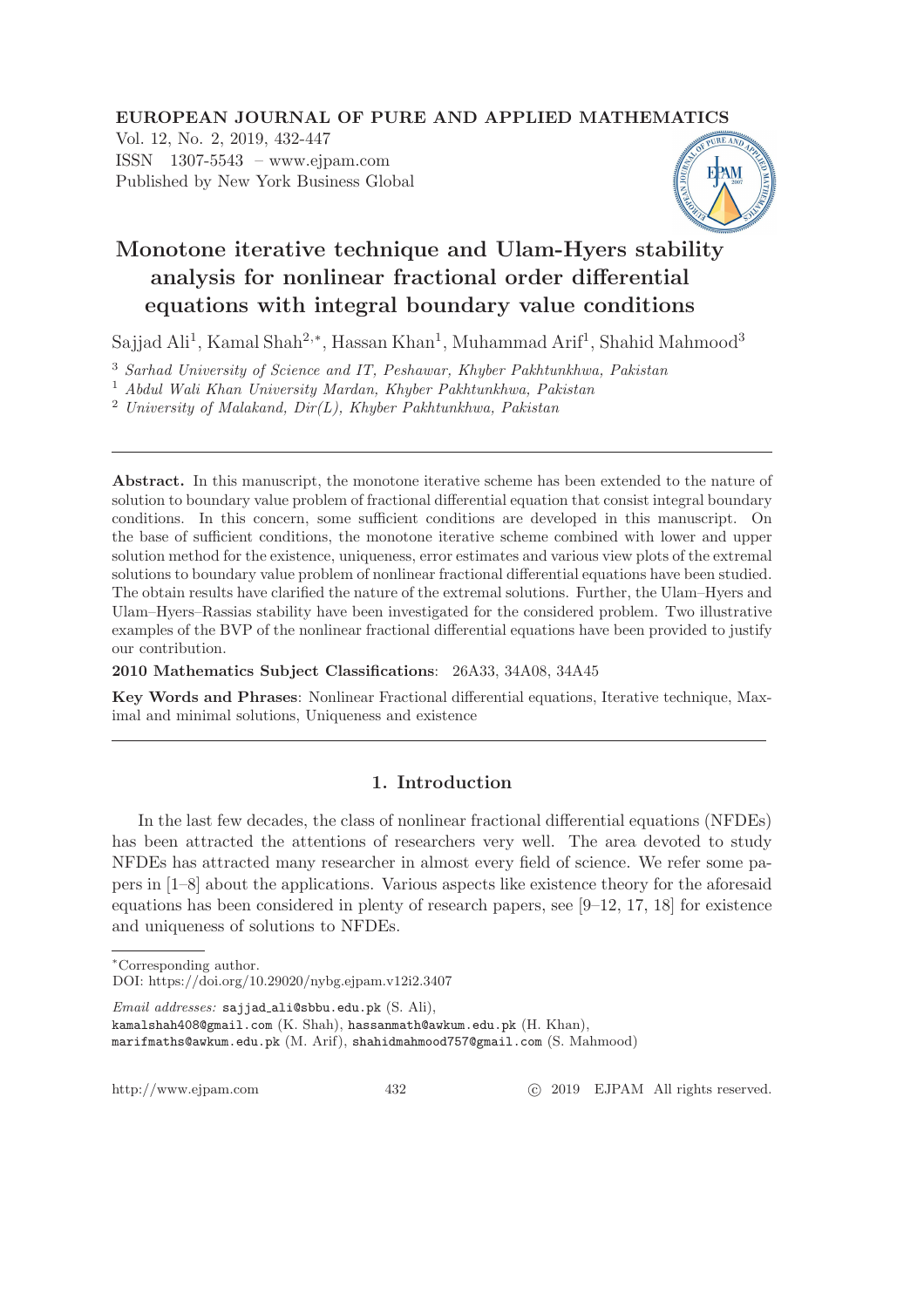## EUROPEAN JOURNAL OF PURE AND APPLIED MATHEMATICS

Vol. 12, No. 2, 2019, 432-447 ISSN 1307-5543 – www.ejpam.com Published by New York Business Global



# Monotone iterative technique and Ulam-Hyers stability analysis for nonlinear fractional order differential equations with integral boundary value conditions

Sajjad Ali<sup>1</sup>, Kamal Shah<sup>2,∗</sup>, Hassan Khan<sup>1</sup>, Muhammad Arif<sup>1</sup>, Shahid Mahmood<sup>3</sup>

<sup>3</sup> Sarhad University of Science and IT, Peshawar, Khyber Pakhtunkhwa, Pakistan

<sup>1</sup> Abdul Wali Khan University Mardan, Khyber Pakhtunkhwa, Pakistan

 $2$  University of Malakand, Dir(L), Khyber Pakhtunkhwa, Pakistan

Abstract. In this manuscript, the monotone iterative scheme has been extended to the nature of solution to boundary value problem of fractional differential equation that consist integral boundary conditions. In this concern, some sufficient conditions are developed in this manuscript. On the base of sufficient conditions, the monotone iterative scheme combined with lower and upper solution method for the existence, uniqueness, error estimates and various view plots of the extremal solutions to boundary value problem of nonlinear fractional differential equations have been studied. The obtain results have clarified the nature of the extremal solutions. Further, the Ulam–Hyers and Ulam–Hyers–Rassias stability have been investigated for the considered problem. Two illustrative examples of the BVP of the nonlinear fractional differential equations have been provided to justify our contribution.

2010 Mathematics Subject Classifications: 26A33, 34A08, 34A45

Key Words and Phrases: Nonlinear Fractional differential equations, Iterative technique, Maximal and minimal solutions, Uniqueness and existence

## 1. Introduction

In the last few decades, the class of nonlinear fractional differential equations (NFDEs) has been attracted the attentions of researchers very well. The area devoted to study NFDEs has attracted many researcher in almost every field of science. We refer some papers in [1–8] about the applications. Various aspects like existence theory for the aforesaid equations has been considered in plenty of research papers, see [9–12, 17, 18] for existence and uniqueness of solutions to NFDEs.

http://www.ejpam.com 432 
c 2019 EJPAM All rights reserved.

<sup>∗</sup>Corresponding author.

DOI: https://doi.org/10.29020/nybg.ejpam.v12i2.3407

Email addresses: sajjad ali@sbbu.edu.pk (S. Ali),

kamalshah408@gmail.com (K. Shah), hassanmath@awkum.edu.pk (H. Khan),

marifmaths@awkum.edu.pk (M. Arif), shahidmahmood757@gmail.com (S. Mahmood)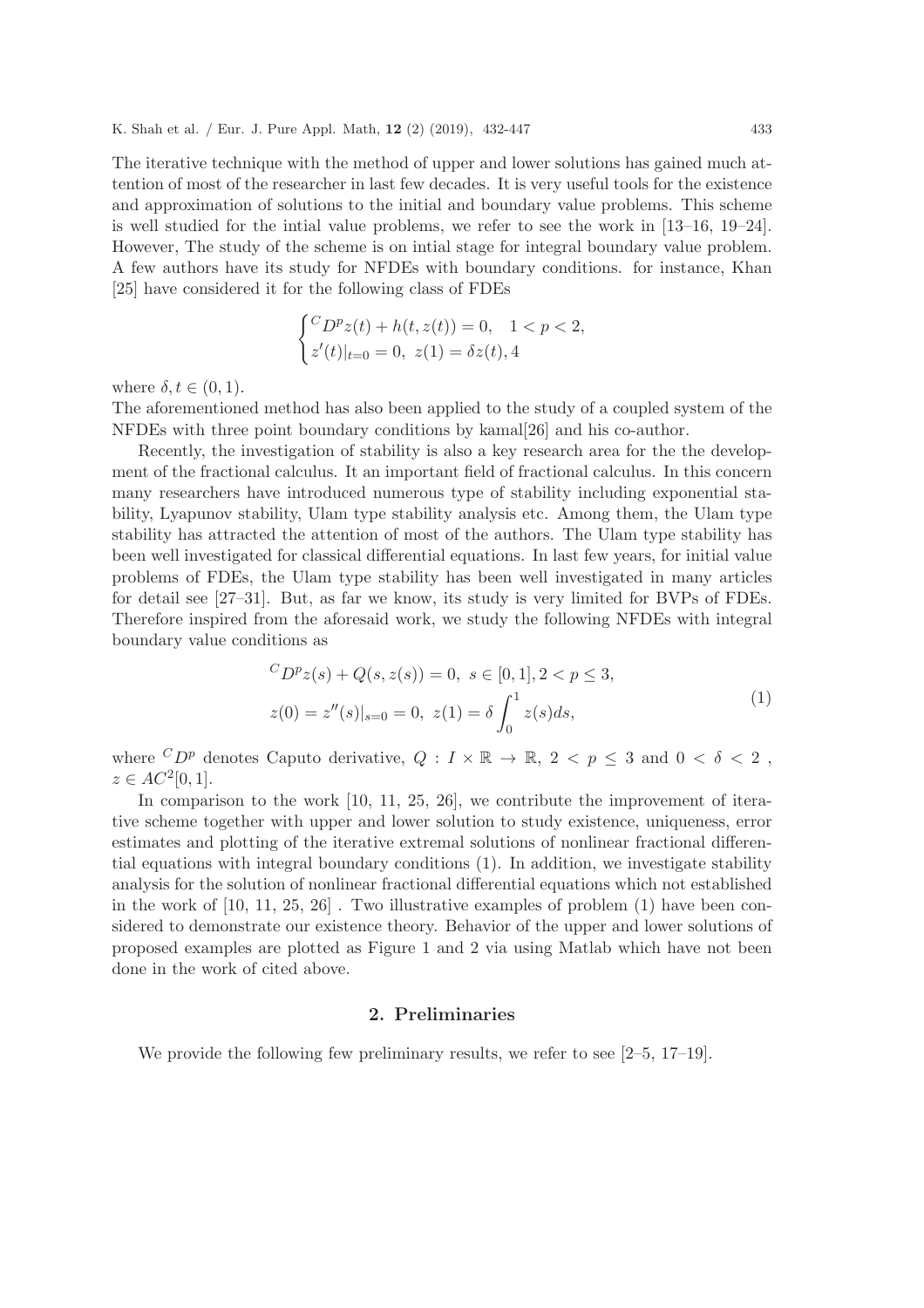The iterative technique with the method of upper and lower solutions has gained much attention of most of the researcher in last few decades. It is very useful tools for the existence and approximation of solutions to the initial and boundary value problems. This scheme is well studied for the intial value problems, we refer to see the work in [13–16, 19–24]. However, The study of the scheme is on intial stage for integral boundary value problem. A few authors have its study for NFDEs with boundary conditions. for instance, Khan [25] have considered it for the following class of FDEs

$$
\begin{cases} ^{C}D^{p}z(t) + h(t, z(t)) = 0, \quad 1 < p < 2, \\ z'(t)|_{t=0} = 0, \ z(1) = \delta z(t), 4 \end{cases}
$$

where  $\delta, t \in (0, 1)$ .

The aforementioned method has also been applied to the study of a coupled system of the NFDEs with three point boundary conditions by kamal[26] and his co-author.

Recently, the investigation of stability is also a key research area for the the development of the fractional calculus. It an important field of fractional calculus. In this concern many researchers have introduced numerous type of stability including exponential stability, Lyapunov stability, Ulam type stability analysis etc. Among them, the Ulam type stability has attracted the attention of most of the authors. The Ulam type stability has been well investigated for classical differential equations. In last few years, for initial value problems of FDEs, the Ulam type stability has been well investigated in many articles for detail see [27–31]. But, as far we know, its study is very limited for BVPs of FDEs. Therefore inspired from the aforesaid work, we study the following NFDEs with integral boundary value conditions as

$$
{}^{C}D^{p}z(s) + Q(s, z(s)) = 0, \ s \in [0, 1], 2 < p \le 3,
$$
  

$$
z(0) = z''(s)|_{s=0} = 0, \ z(1) = \delta \int_{0}^{1} z(s)ds,
$$
 (1)

where  ${}^C D^p$  denotes Caputo derivative,  $Q: I \times \mathbb{R} \to \mathbb{R}, 2 < p \leq 3$  and  $0 < \delta < 2$ ,  $z \in AC^2[0,1].$ 

In comparison to the work [10, 11, 25, 26], we contribute the improvement of iterative scheme together with upper and lower solution to study existence, uniqueness, error estimates and plotting of the iterative extremal solutions of nonlinear fractional differential equations with integral boundary conditions (1). In addition, we investigate stability analysis for the solution of nonlinear fractional differential equations which not established in the work of  $[10, 11, 25, 26]$ . Two illustrative examples of problem  $(1)$  have been considered to demonstrate our existence theory. Behavior of the upper and lower solutions of proposed examples are plotted as Figure 1 and 2 via using Matlab which have not been done in the work of cited above.

### 2. Preliminaries

We provide the following few preliminary results, we refer to see [2–5, 17–19].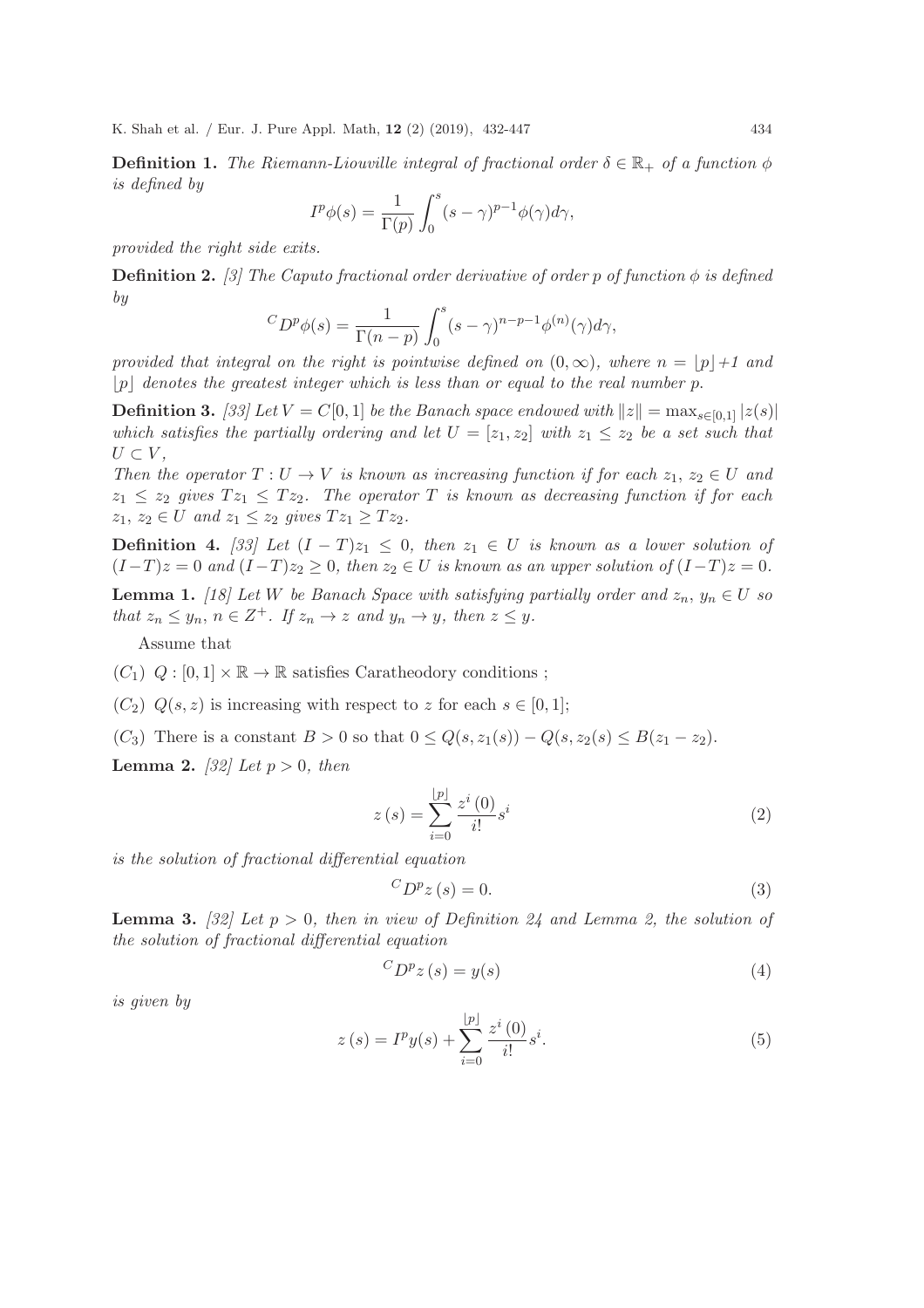**Definition 1.** The Riemann-Liouville integral of fractional order  $\delta \in \mathbb{R}_+$  of a function  $\phi$ is defined by

$$
I^{p}\phi(s) = \frac{1}{\Gamma(p)} \int_0^s (s - \gamma)^{p-1} \phi(\gamma) d\gamma,
$$

provided the right side exits.

**Definition 2.** [3] The Caputo fractional order derivative of order p of function  $\phi$  is defined by

$$
{}^{C}D^{p}\phi(s) = \frac{1}{\Gamma(n-p)} \int_{0}^{s} (s-\gamma)^{n-p-1} \phi^{(n)}(\gamma) d\gamma,
$$

provided that integral on the right is pointwise defined on  $(0, \infty)$ , where  $n = |p|+1$  and  $|p|$  denotes the greatest integer which is less than or equal to the real number p.

**Definition 3.** [33] Let  $V = C[0, 1]$  be the Banach space endowed with  $||z|| = \max_{s \in [0, 1]} |z(s)|$ which satisfies the partially ordering and let  $U = [z_1, z_2]$  with  $z_1 \leq z_2$  be a set such that  $U \subset V$ ,

Then the operator  $T: U \to V$  is known as increasing function if for each  $z_1, z_2 \in U$  and  $z_1 \leq z_2$  gives  $T z_1 \leq T z_2$ . The operator T is known as decreasing function if for each  $z_1, z_2 \in U$  and  $z_1 \leq z_2$  gives  $Tz_1 \geq Tz_2$ .

**Definition 4.** [33] Let  $(I - T)z_1 \leq 0$ , then  $z_1 \in U$  is known as a lower solution of  $(I-T)z = 0$  and  $(I-T)z_2 \geq 0$ , then  $z_2 \in U$  is known as an upper solution of  $(I-T)z = 0$ .

**Lemma 1.** [18] Let W be Banach Space with satisfying partially order and  $z_n$ ,  $y_n \in U$  so that  $z_n \leq y_n$ ,  $n \in \mathbb{Z}^+$ . If  $z_n \to z$  and  $y_n \to y$ , then  $z \leq y$ .

Assume that

- $(C_1)$   $Q: [0,1] \times \mathbb{R} \to \mathbb{R}$  satisfies Caratheodory conditions;
- $(C_2)$   $Q(s, z)$  is increasing with respect to z for each  $s \in [0, 1]$ ;
- (C<sub>3</sub>) There is a constant  $B > 0$  so that  $0 \le Q(s, z_1(s)) Q(s, z_2(s) \le B(z_1 z_2)$ .

**Lemma 2.** [32] Let  $p > 0$ , then

$$
z(s) = \sum_{i=0}^{\lfloor p \rfloor} \frac{z^i(0)}{i!} s^i
$$
 (2)

is the solution of fractional differential equation

$$
{}^{C}D^{p}z(s) = 0.\t\t(3)
$$

**Lemma 3.** [32] Let  $p > 0$ , then in view of Definition 24 and Lemma 2, the solution of the solution of fractional differential equation

$$
{}^{C}D^{p}z(s) = y(s)
$$
 (4)

is given by

$$
z(s) = I^{p}y(s) + \sum_{i=0}^{\lfloor p \rfloor} \frac{z^{i}(0)}{i!} s^{i}.
$$
 (5)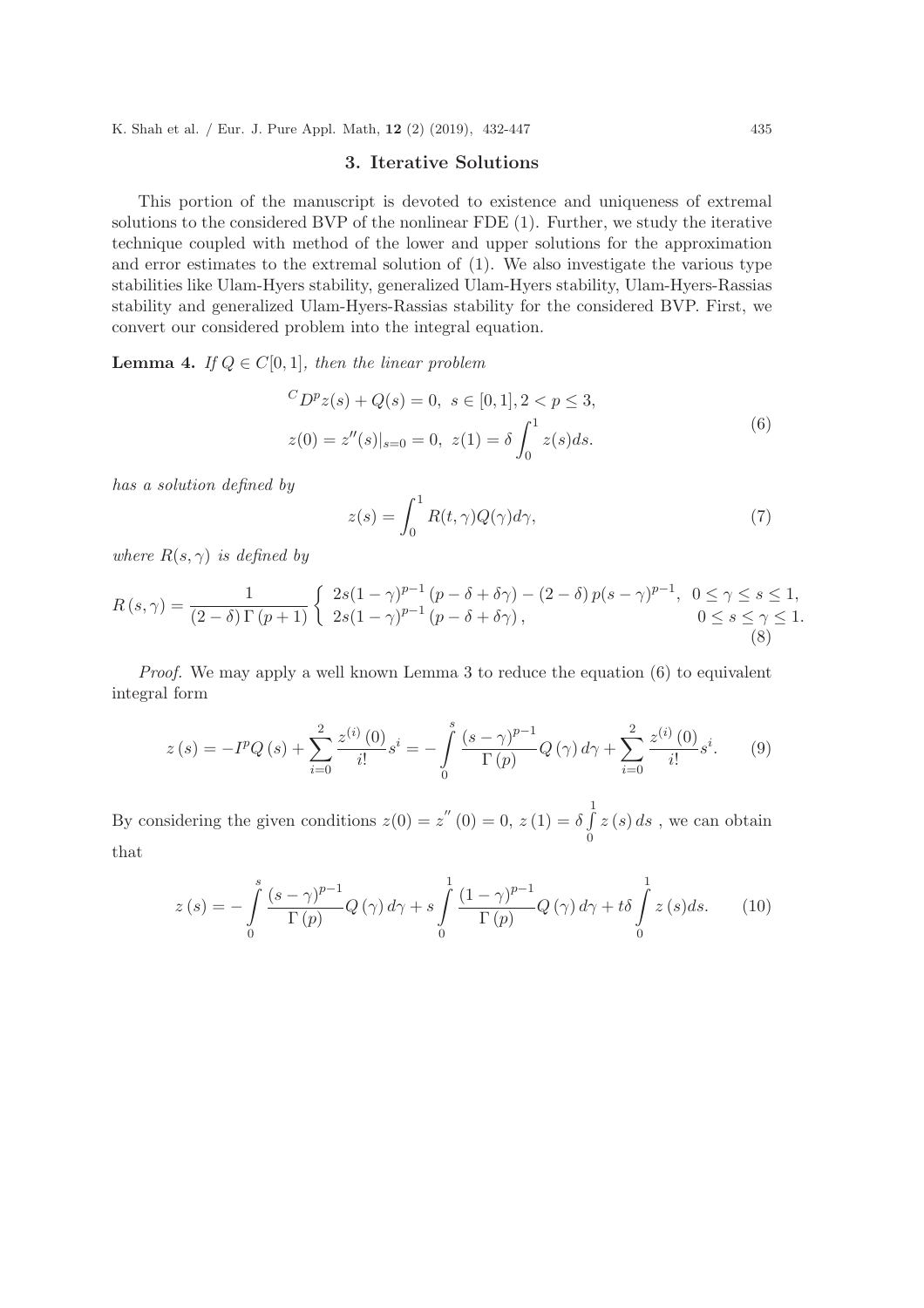## 3. Iterative Solutions

This portion of the manuscript is devoted to existence and uniqueness of extremal solutions to the considered BVP of the nonlinear FDE (1). Further, we study the iterative technique coupled with method of the lower and upper solutions for the approximation and error estimates to the extremal solution of (1). We also investigate the various type stabilities like Ulam-Hyers stability, generalized Ulam-Hyers stability, Ulam-Hyers-Rassias stability and generalized Ulam-Hyers-Rassias stability for the considered BVP. First, we convert our considered problem into the integral equation.

**Lemma 4.** If  $Q \in C[0,1]$ , then the linear problem

$$
{}^{C}D^{p}z(s) + Q(s) = 0, \ s \in [0, 1], 2 < p \le 3,
$$
  

$$
z(0) = z''(s)|_{s=0} = 0, \ z(1) = \delta \int_{0}^{1} z(s)ds.
$$
 (6)

has a solution defined by

$$
z(s) = \int_0^1 R(t, \gamma) Q(\gamma) d\gamma,
$$
\n(7)

where  $R(s, \gamma)$  is defined by

$$
R(s,\gamma) = \frac{1}{(2-\delta)\Gamma(p+1)} \begin{cases} 2s(1-\gamma)^{p-1}(p-\delta+\delta\gamma) - (2-\delta)p(s-\gamma)^{p-1}, & 0 \le \gamma \le s \le 1, \\ 2s(1-\gamma)^{p-1}(p-\delta+\delta\gamma), & 0 \le s \le \gamma \le 1. \end{cases}
$$
\n(8)

*Proof.* We may apply a well known Lemma 3 to reduce the equation  $(6)$  to equivalent integral form

$$
z(s) = -I^{p}Q(s) + \sum_{i=0}^{2} \frac{z^{(i)}(0)}{i!} s^{i} = -\int_{0}^{s} \frac{(s-\gamma)^{p-1}}{\Gamma(p)} Q(\gamma) d\gamma + \sum_{i=0}^{2} \frac{z^{(i)}(0)}{i!} s^{i}.
$$
 (9)

By considering the given conditions  $z(0) = z''(0) = 0, z(1) = \delta \int$ 1 0  $z(s) ds$ , we can obtain that

$$
z(s) = -\int_{0}^{s} \frac{(s-\gamma)^{p-1}}{\Gamma(p)} Q(\gamma) d\gamma + s \int_{0}^{1} \frac{(1-\gamma)^{p-1}}{\Gamma(p)} Q(\gamma) d\gamma + t \delta \int_{0}^{1} z(s) ds.
$$
 (10)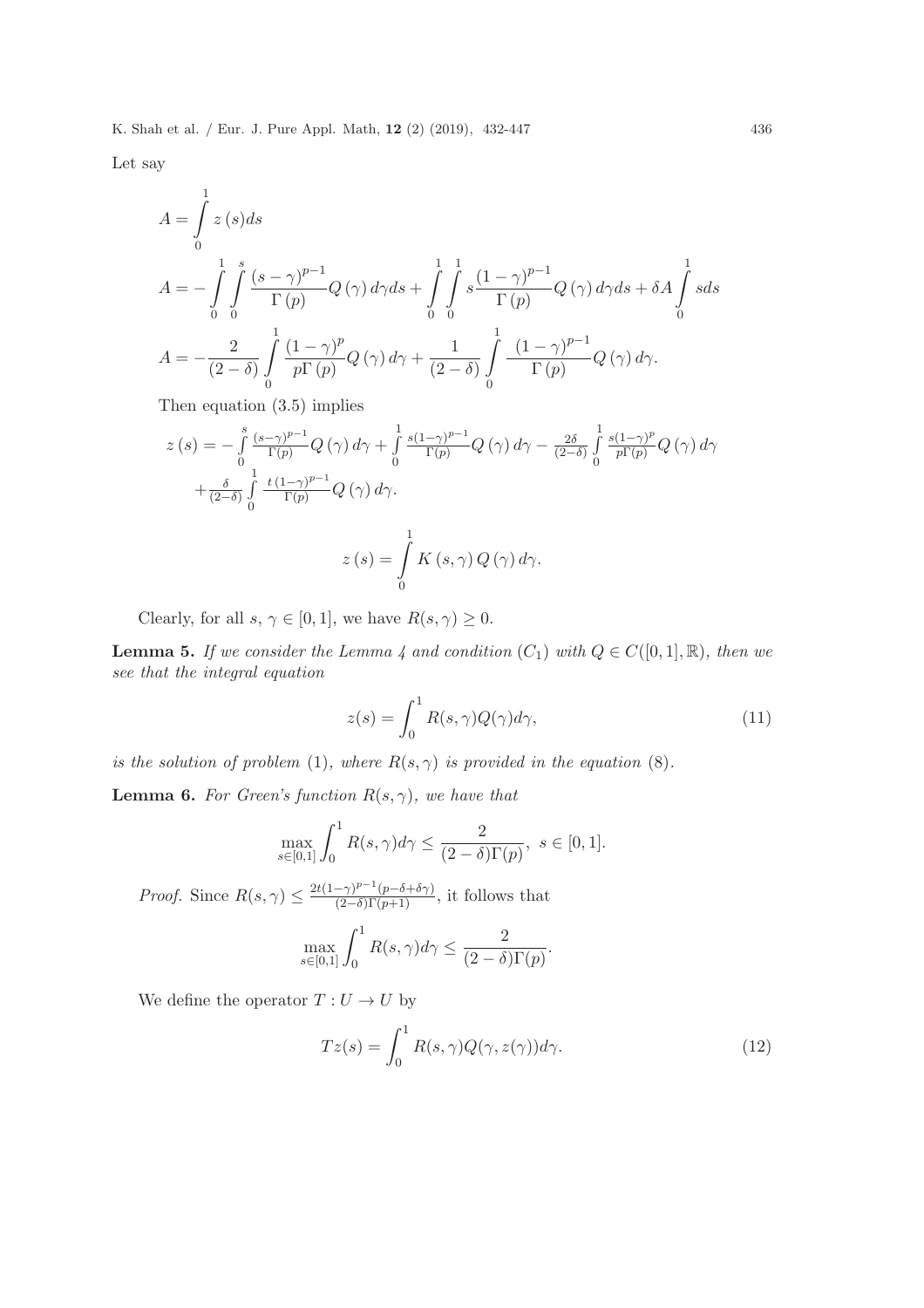Let say

$$
A = \int_{0}^{1} z(s)ds
$$
  
\n
$$
A = -\int_{0}^{1} \int_{0}^{s} \frac{(s-\gamma)^{p-1}}{\Gamma(p)} Q(\gamma) d\gamma ds + \int_{0}^{1} \int_{0}^{1} s \frac{(1-\gamma)^{p-1}}{\Gamma(p)} Q(\gamma) d\gamma ds + \delta A \int_{0}^{1} s ds
$$
  
\n
$$
A = -\frac{2}{(2-\delta)} \int_{0}^{1} \frac{(1-\gamma)^{p}}{p\Gamma(p)} Q(\gamma) d\gamma + \frac{1}{(2-\delta)} \int_{0}^{1} \frac{(1-\gamma)^{p-1}}{\Gamma(p)} Q(\gamma) d\gamma.
$$

Then equation (3.5) implies

$$
z(s) = -\int_{0}^{s} \frac{(s-\gamma)^{p-1}}{\Gamma(p)} Q(\gamma) d\gamma + \int_{0}^{1} \frac{s(1-\gamma)^{p-1}}{\Gamma(p)} Q(\gamma) d\gamma - \frac{2\delta}{(2-\delta)} \int_{0}^{1} \frac{s(1-\gamma)^{p}}{p\Gamma(p)} Q(\gamma) d\gamma
$$

$$
+ \frac{\delta}{(2-\delta)} \int_{0}^{1} \frac{t(1-\gamma)^{p-1}}{\Gamma(p)} Q(\gamma) d\gamma.
$$

$$
z(s) = \int_{0}^{1} K(s, \gamma) Q(\gamma) d\gamma.
$$

Clearly, for all  $s, \gamma \in [0, 1]$ , we have  $R(s, \gamma) \geq 0$ .

**Lemma 5.** If we consider the Lemma 4 and condition  $(C_1)$  with  $Q \in C([0,1], \mathbb{R})$ , then we see that the integral equation

$$
z(s) = \int_0^1 R(s, \gamma) Q(\gamma) d\gamma,
$$
\n(11)

is the solution of problem (1), where  $R(s, \gamma)$  is provided in the equation (8).

**Lemma 6.** For Green's function  $R(s, \gamma)$ , we have that

$$
\max_{s \in [0,1]} \int_0^1 R(s,\gamma)d\gamma \le \frac{2}{(2-\delta)\Gamma(p)}, \ s \in [0,1].
$$

*Proof.* Since  $R(s, \gamma) \leq \frac{2t(1-\gamma)^{p-1}(p-\delta+\delta\gamma)}{(2-\delta)\Gamma(p+1)}$ , it follows that

$$
\max_{s \in [0,1]} \int_0^1 R(s,\gamma)d\gamma \le \frac{2}{(2-\delta)\Gamma(p)}.
$$

We define the operator  $T:U\rightarrow U$  by

$$
Tz(s) = \int_0^1 R(s,\gamma)Q(\gamma,z(\gamma))d\gamma.
$$
 (12)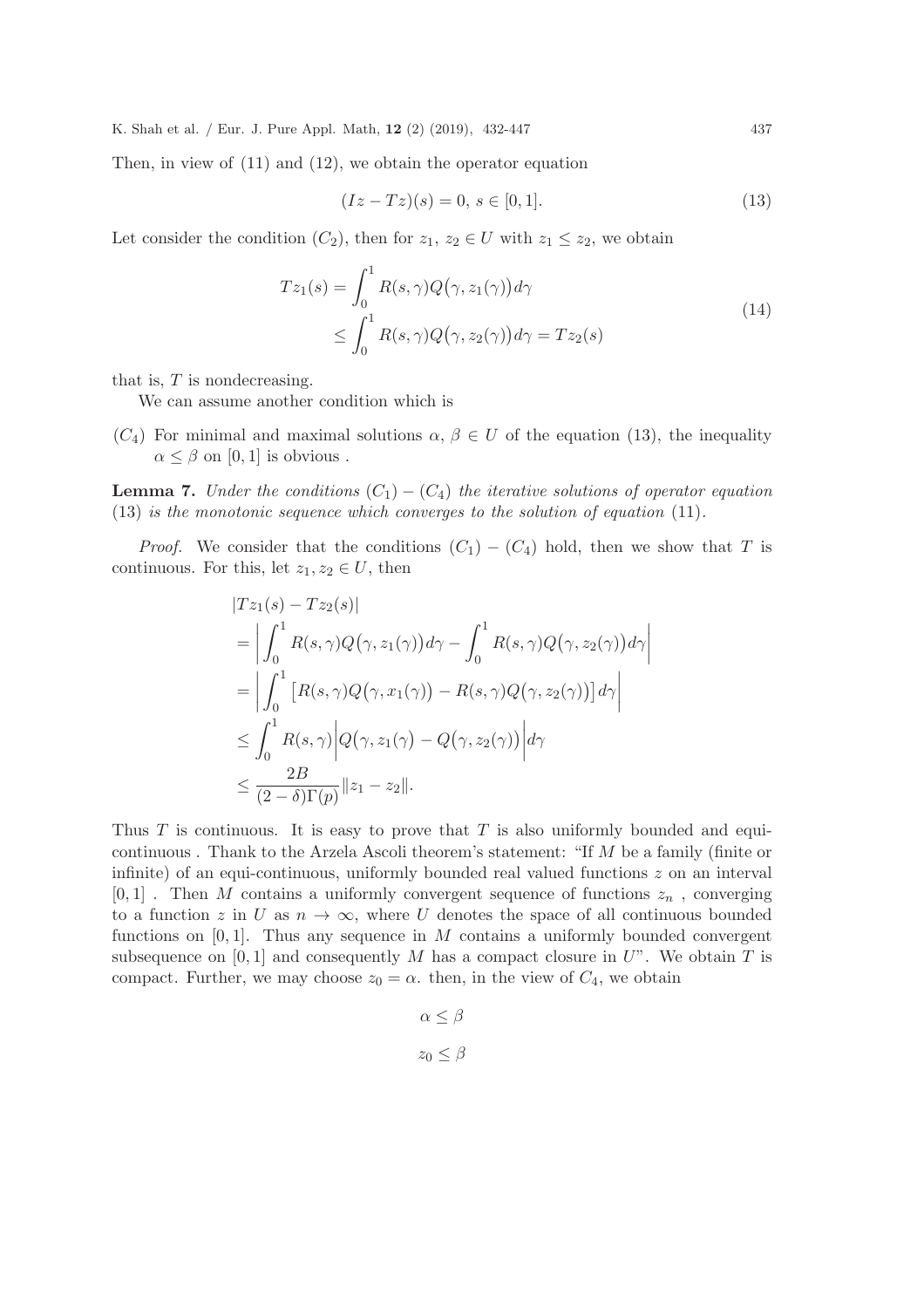Then, in view of (11) and (12), we obtain the operator equation

$$
(Iz - Tz)(s) = 0, \, s \in [0, 1]. \tag{13}
$$

Let consider the condition  $(C_2)$ , then for  $z_1, z_2 \in U$  with  $z_1 \leq z_2$ , we obtain

$$
Tz_1(s) = \int_0^1 R(s,\gamma)Q(\gamma,z_1(\gamma))d\gamma
$$
  
\n
$$
\leq \int_0^1 R(s,\gamma)Q(\gamma,z_2(\gamma))d\gamma = Tz_2(s)
$$
\n(14)

that is,  $T$  is nondecreasing.

We can assume another condition which is

 $(C_4)$  For minimal and maximal solutions  $\alpha, \beta \in U$  of the equation (13), the inequality  $\alpha \leq \beta$  on [0, 1] is obvious.

**Lemma 7.** Under the conditions  $(C_1) - (C_4)$  the iterative solutions of operator equation (13) is the monotonic sequence which converges to the solution of equation (11).

*Proof.* We consider that the conditions  $(C_1) - (C_4)$  hold, then we show that T is continuous. For this, let  $z_1, z_2 \in U$ , then

$$
|Tz_{1}(s) - Tz_{2}(s)|
$$
  
\n
$$
= \left| \int_{0}^{1} R(s, \gamma) Q(\gamma, z_{1}(\gamma)) d\gamma - \int_{0}^{1} R(s, \gamma) Q(\gamma, z_{2}(\gamma)) d\gamma \right|
$$
  
\n
$$
= \left| \int_{0}^{1} \left[ R(s, \gamma) Q(\gamma, x_{1}(\gamma)) - R(s, \gamma) Q(\gamma, z_{2}(\gamma)) \right] d\gamma \right|
$$
  
\n
$$
\leq \int_{0}^{1} R(s, \gamma) \left| Q(\gamma, z_{1}(\gamma) - Q(\gamma, z_{2}(\gamma))) \right| d\gamma
$$
  
\n
$$
\leq \frac{2B}{(2 - \delta) \Gamma(p)} \|z_{1} - z_{2}\|.
$$

Thus  $T$  is continuous. It is easy to prove that  $T$  is also uniformly bounded and equicontinuous . Thank to the Arzela Ascoli theorem's statement: "If M be a family (finite or infinite) of an equi-continuous, uniformly bounded real valued functions  $z$  on an interval  $[0, 1]$ . Then M contains a uniformly convergent sequence of functions  $z_n$ , converging to a function z in U as  $n \to \infty$ , where U denotes the space of all continuous bounded functions on  $[0, 1]$ . Thus any sequence in M contains a uniformly bounded convergent subsequence on [0, 1] and consequently M has a compact closure in  $U$ ". We obtain T is compact. Further, we may choose  $z_0 = \alpha$ . then, in the view of  $C_4$ , we obtain

$$
\alpha \le \beta
$$
  

$$
z_0 \le \beta
$$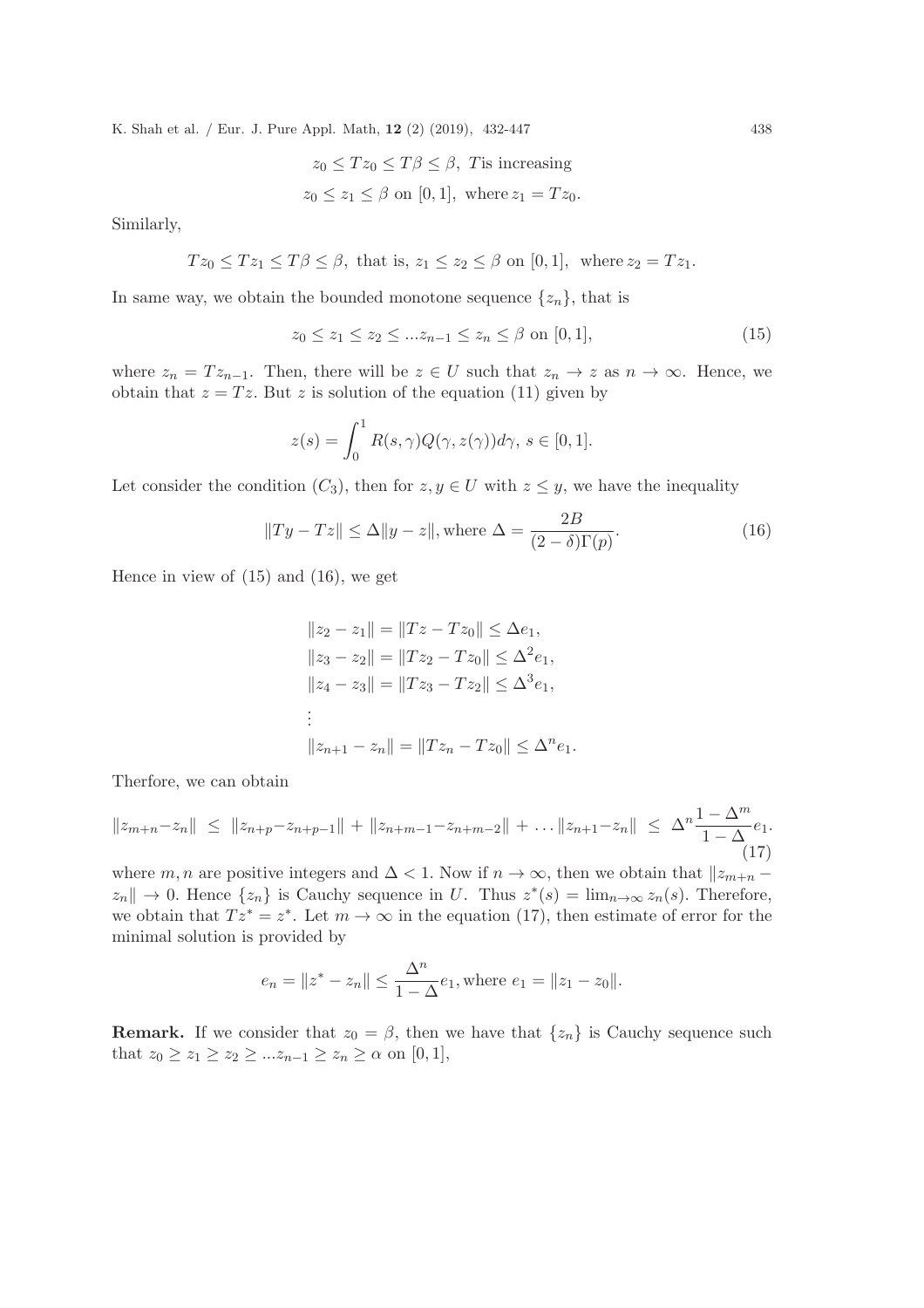$$
z_0 \le Tz_0 \le T\beta \le \beta, \text{ T is increasing}
$$
  

$$
z_0 \le z_1 \le \beta \text{ on } [0, 1], \text{ where } z_1 = Tz_0.
$$

Similarly,

$$
Tz_0 \leq Tz_1 \leq T\beta \leq \beta
$$
, that is,  $z_1 \leq z_2 \leq \beta$  on [0, 1], where  $z_2 = Tz_1$ .

In same way, we obtain the bounded monotone sequence  $\{z_n\}$ , that is

$$
z_0 \le z_1 \le z_2 \le \dots z_{n-1} \le z_n \le \beta \text{ on } [0,1],\tag{15}
$$

where  $z_n = T z_{n-1}$ . Then, there will be  $z \in U$  such that  $z_n \to z$  as  $n \to \infty$ . Hence, we obtain that  $z = Tz$ . But z is solution of the equation (11) given by

$$
z(s) = \int_0^1 R(s, \gamma) Q(\gamma, z(\gamma)) d\gamma, \ s \in [0, 1].
$$

Let consider the condition  $(C_3)$ , then for  $z, y \in U$  with  $z \leq y$ , we have the inequality

$$
||Ty - Tz|| \le \Delta ||y - z||, \text{where } \Delta = \frac{2B}{(2 - \delta)\Gamma(p)}.
$$
 (16)

Hence in view of (15) and (16), we get

$$
||z_2 - z_1|| = ||Tz - Tz_0|| \le \Delta e_1,
$$
  
\n
$$
||z_3 - z_2|| = ||Tz_2 - Tz_0|| \le \Delta^2 e_1,
$$
  
\n
$$
||z_4 - z_3|| = ||Tz_3 - Tz_2|| \le \Delta^3 e_1,
$$
  
\n
$$
\vdots
$$
  
\n
$$
||z_{n+1} - z_n|| = ||Tz_n - Tz_0|| \le \Delta^n e_1.
$$

Therfore, we can obtain

$$
||z_{m+n}-z_n|| \le ||z_{n+p}-z_{n+p-1}|| + ||z_{n+m-1}-z_{n+m-2}|| + \dots ||z_{n+1}-z_n|| \le \Delta^n \frac{1-\Delta^m}{1-\Delta} e_1.
$$
\n(17)

where m, n are positive integers and  $\Delta$  < 1. Now if  $n \to \infty$ , then we obtain that  $||z_{m+n} - z_{m+n}|$  $z_n$   $\parallel \to 0$ . Hence  $\{z_n\}$  is Cauchy sequence in U. Thus  $z^*(s) = \lim_{n \to \infty} z_n(s)$ . Therefore, we obtain that  $Tz^* = z^*$ . Let  $m \to \infty$  in the equation (17), then estimate of error for the minimal solution is provided by

$$
e_n = ||z^* - z_n|| \le \frac{\Delta^n}{1 - \Delta} e_1
$$
, where  $e_1 = ||z_1 - z_0||$ .

**Remark.** If we consider that  $z_0 = \beta$ , then we have that  $\{z_n\}$  is Cauchy sequence such that  $z_0 \ge z_1 \ge z_2 \ge ... z_{n-1} \ge z_n \ge \alpha$  on  $[0,1],$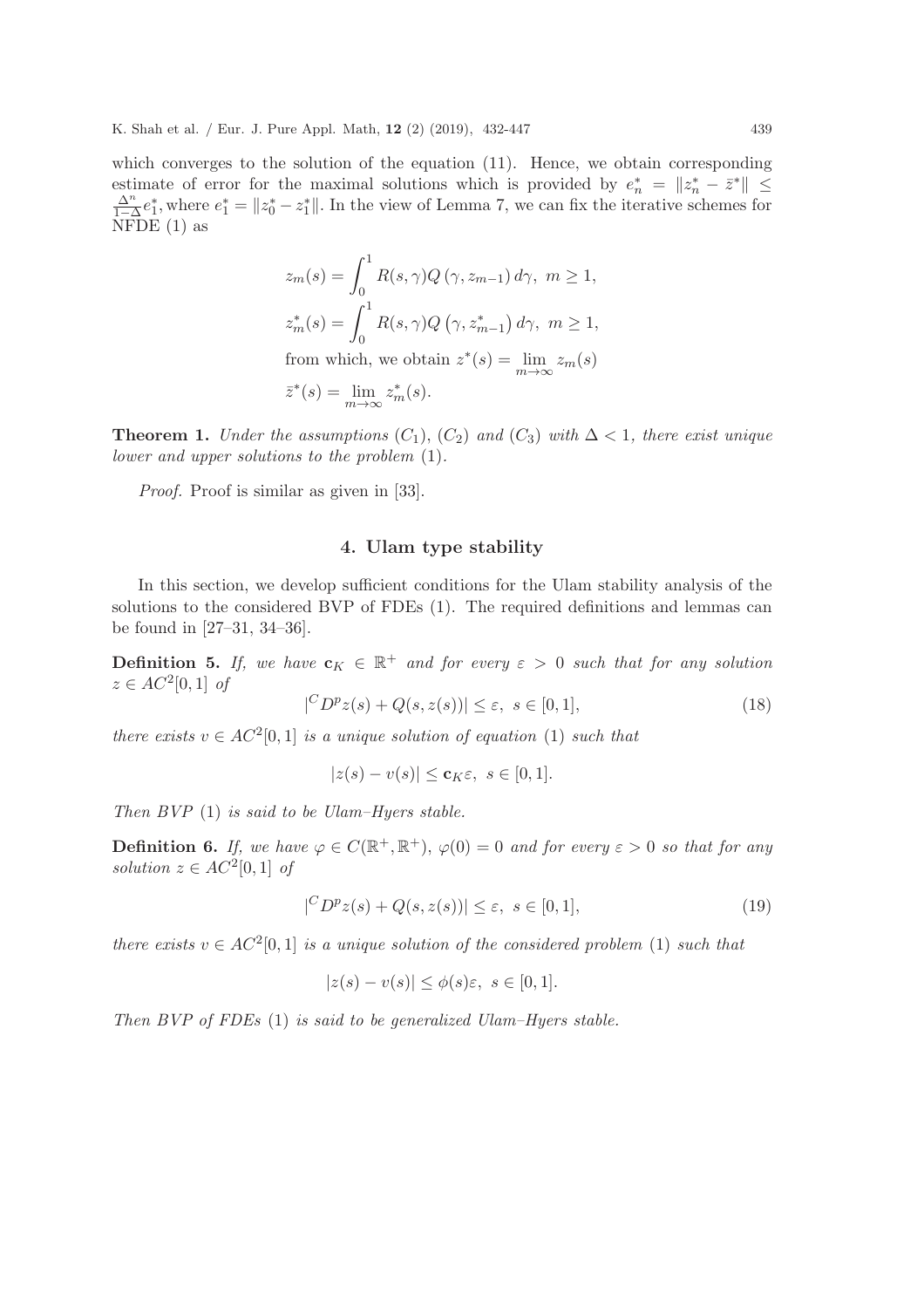which converges to the solution of the equation (11). Hence, we obtain corresponding estimate of error for the maximal solutions which is provided by  $e_n^* = ||z_n^* - \bar{z}^*|| \leq$  $\Delta^n$  $\frac{\Delta^n}{1-\Delta}e_1^*$ , where  $e_1^* = ||z_0^* - z_1^*||$ . In the view of Lemma 7, we can fix the iterative schemes for NFDE  $(1)$  as

$$
z_m(s) = \int_0^1 R(s, \gamma) Q(\gamma, z_{m-1}) d\gamma, \ m \ge 1,
$$
  
\n
$$
z_m^*(s) = \int_0^1 R(s, \gamma) Q(\gamma, z_{m-1}^*) d\gamma, \ m \ge 1,
$$
  
\nfrom which, we obtain  $z^*(s) = \lim_{m \to \infty} z_m(s)$   
\n $\bar{z}^*(s) = \lim_{m \to \infty} z_m^*(s).$ 

**Theorem 1.** Under the assumptions  $(C_1)$ ,  $(C_2)$  and  $(C_3)$  with  $\Delta < 1$ , there exist unique lower and upper solutions to the problem (1).

Proof. Proof is similar as given in [33].

#### 4. Ulam type stability

In this section, we develop sufficient conditions for the Ulam stability analysis of the solutions to the considered BVP of FDEs (1). The required definitions and lemmas can be found in [27–31, 34–36].

**Definition 5.** If, we have  $\mathbf{c}_K \in \mathbb{R}^+$  and for every  $\varepsilon > 0$  such that for any solution  $z \in AC^2[0,1]$  of

$$
|^{C}D^{p}z(s) + Q(s, z(s))| \leq \varepsilon, \ s \in [0, 1], \tag{18}
$$

there exists  $v \in AC^2[0,1]$  is a unique solution of equation (1) such that

$$
|z(s) - v(s)| \le \mathbf{c}_K \varepsilon, \ s \in [0, 1].
$$

Then  $BVP(1)$  is said to be Ulam–Hyers stable.

**Definition 6.** If, we have  $\varphi \in C(\mathbb{R}^+, \mathbb{R}^+), \varphi(0) = 0$  and for every  $\varepsilon > 0$  so that for any solution  $z \in AC^2[0,1]$  of

$$
|^{C}D^{p}z(s) + Q(s, z(s))| \leq \varepsilon, \ s \in [0, 1], \tag{19}
$$

there exists  $v \in AC^2[0,1]$  is a unique solution of the considered problem (1) such that

$$
|z(s) - v(s)| \le \phi(s)\varepsilon, \ s \in [0, 1].
$$

Then BVP of FDEs (1) is said to be generalized Ulam–Hyers stable.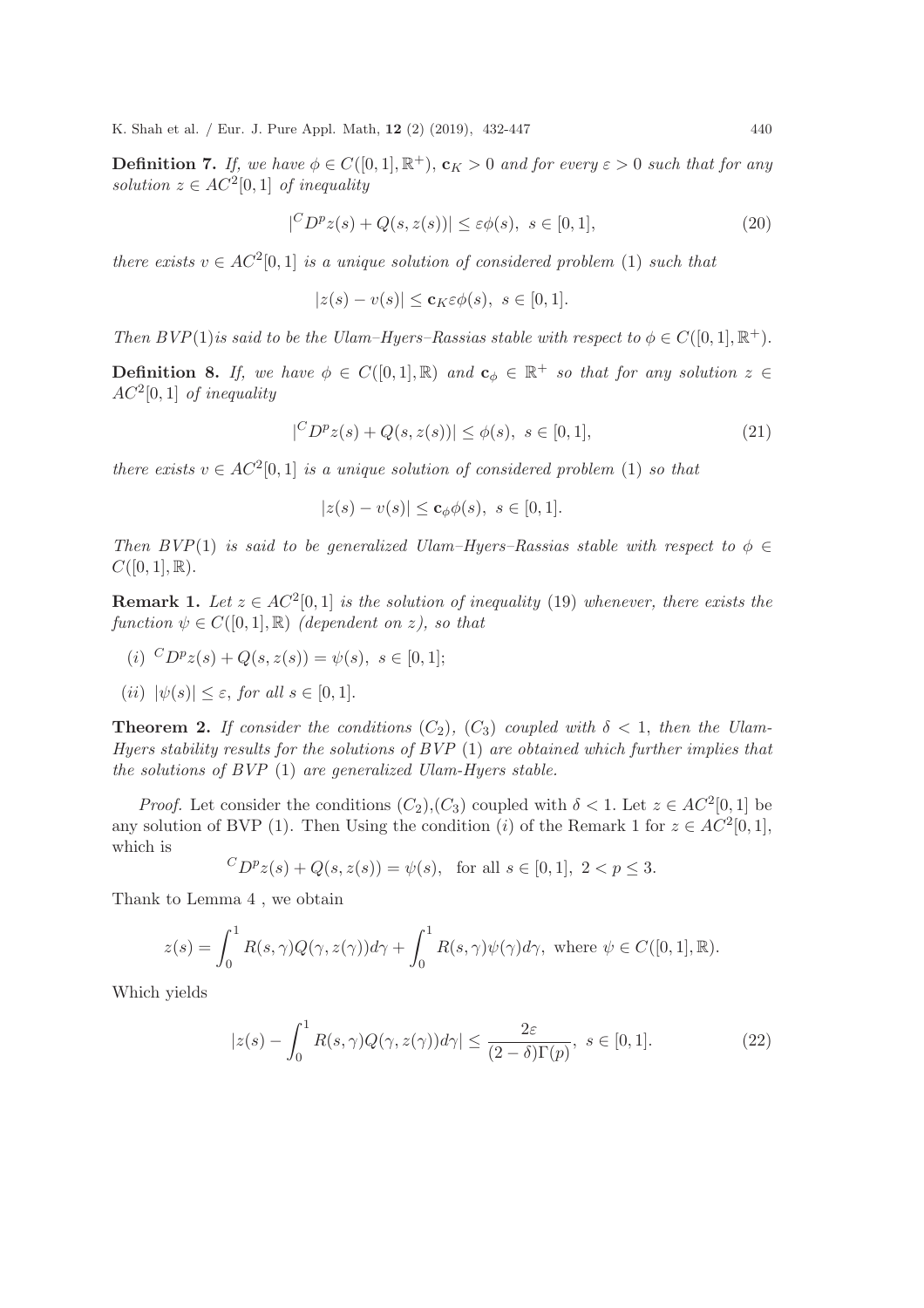**Definition 7.** If, we have  $\phi \in C([0,1], \mathbb{R}^+), \mathbf{c}_K > 0$  and for every  $\varepsilon > 0$  such that for any solution  $z \in AC^2[0,1]$  of inequality

$$
|^{C}D^{p}z(s) + Q(s, z(s))| \le \varepsilon \phi(s), \ s \in [0, 1], \tag{20}
$$

there exists  $v \in AC^2[0,1]$  is a unique solution of considered problem (1) such that

$$
|z(s) - v(s)| \le \mathbf{c}_K \varepsilon \phi(s), \ s \in [0, 1].
$$

Then BVP(1) is said to be the Ulam–Hyers–Rassias stable with respect to  $\phi \in C([0,1], \mathbb{R}^+)$ .

**Definition 8.** If, we have  $\phi \in C([0,1], \mathbb{R})$  and  $\mathbf{c}_{\phi} \in \mathbb{R}^+$  so that for any solution  $z \in \mathbb{R}$  $AC^2[0,1]$  of inequality

$$
|^{C}D^{p}z(s) + Q(s, z(s))| \le \phi(s), \ s \in [0, 1], \tag{21}
$$

there exists  $v \in AC^2[0,1]$  is a unique solution of considered problem (1) so that

$$
|z(s) - v(s)| \le \mathbf{c}_{\phi} \phi(s), \ s \in [0, 1].
$$

Then  $BVP(1)$  is said to be generalized Ulam–Hyers–Rassias stable with respect to  $\phi \in$  $C([0, 1], \mathbb{R}).$ 

**Remark 1.** Let  $z \in AC^2[0,1]$  is the solution of inequality (19) whenever, there exists the function  $\psi \in C([0,1], \mathbb{R})$  (dependent on z), so that

- (i)  ${}^{C}D^{p}z(s) + Q(s, z(s)) = \psi(s), s \in [0, 1];$
- (ii)  $|\psi(s)| \leq \varepsilon$ , for all  $s \in [0,1]$ .

**Theorem 2.** If consider the conditions  $(C_2)$ ,  $(C_3)$  coupled with  $\delta < 1$ , then the Ulam-Hyers stability results for the solutions of  $BVP(1)$  are obtained which further implies that the solutions of BVP (1) are generalized Ulam-Hyers stable.

*Proof.* Let consider the conditions  $(C_2), (C_3)$  coupled with  $\delta < 1$ . Let  $z \in AC^2[0,1]$  be any solution of BVP (1). Then Using the condition (i) of the Remark 1 for  $z \in AC^2[0,1]$ , which is  $\overline{C}$ 

$$
\forall D^p z(s) + Q(s, z(s)) = \psi(s), \text{ for all } s \in [0, 1], 2 < p \le 3.
$$

Thank to Lemma 4 , we obtain

$$
z(s) = \int_0^1 R(s, \gamma) Q(\gamma, z(\gamma)) d\gamma + \int_0^1 R(s, \gamma) \psi(\gamma) d\gamma, \text{ where } \psi \in C([0, 1], \mathbb{R}).
$$

Which yields

$$
|z(s) - \int_0^1 R(s,\gamma)Q(\gamma,z(\gamma))d\gamma| \le \frac{2\varepsilon}{(2-\delta)\Gamma(p)}, \ s \in [0,1].
$$
 (22)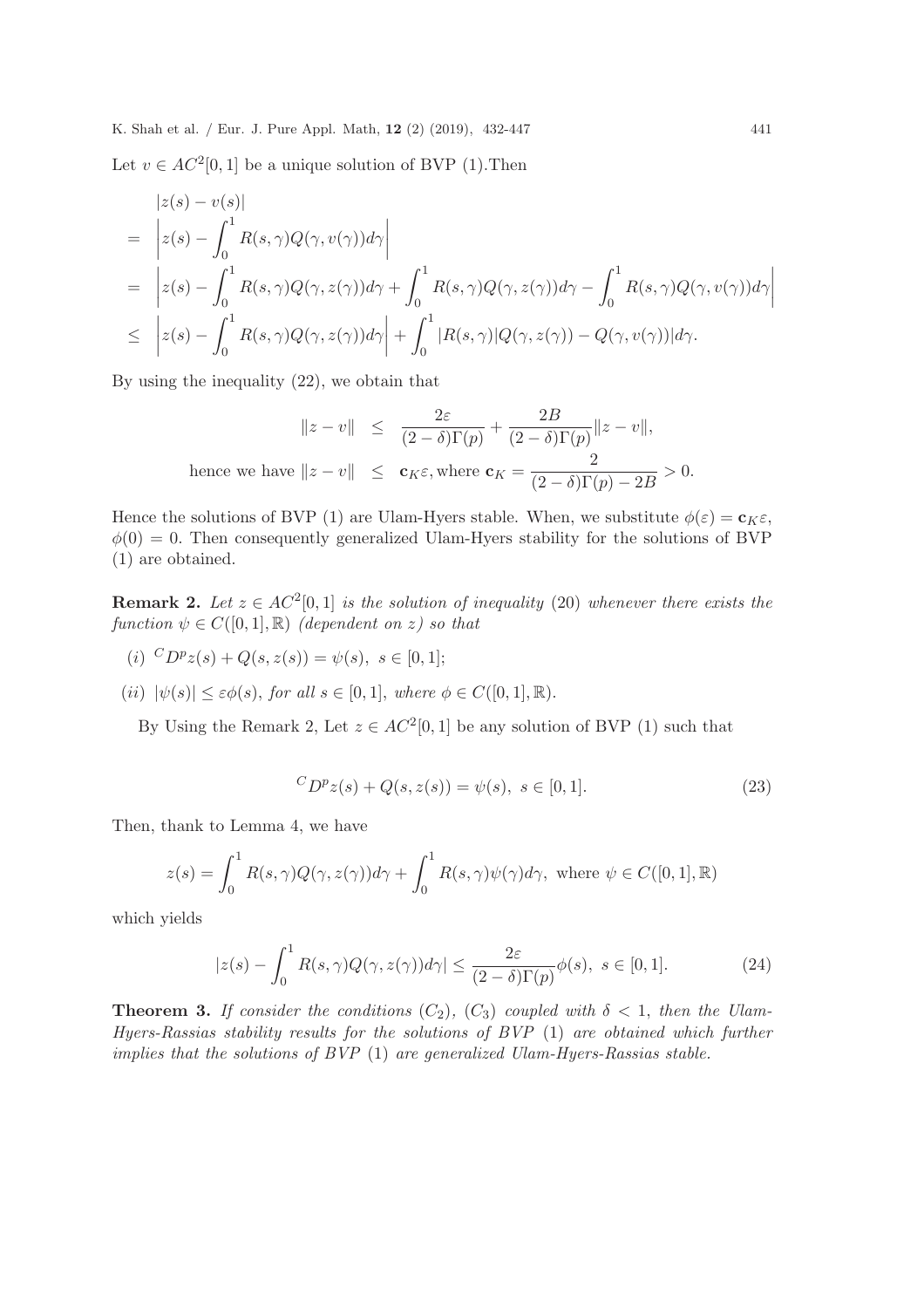Let  $v \in AC^2[0,1]$  be a unique solution of BVP (1). Then

$$
\begin{aligned}\n&|z(s) - v(s)| \\
&= \left| z(s) - \int_0^1 R(s, \gamma) Q(\gamma, v(\gamma)) d\gamma \right| \\
&= \left| z(s) - \int_0^1 R(s, \gamma) Q(\gamma, z(\gamma)) d\gamma + \int_0^1 R(s, \gamma) Q(\gamma, z(\gamma)) d\gamma - \int_0^1 R(s, \gamma) Q(\gamma, v(\gamma)) d\gamma \right| \\
&\leq \left| z(s) - \int_0^1 R(s, \gamma) Q(\gamma, z(\gamma)) d\gamma \right| + \int_0^1 |R(s, \gamma)| Q(\gamma, z(\gamma)) - Q(\gamma, v(\gamma)) |d\gamma.\n\end{aligned}
$$

By using the inequality (22), we obtain that

$$
\|z - v\| \le \frac{2\varepsilon}{(2 - \delta)\Gamma(p)} + \frac{2B}{(2 - \delta)\Gamma(p)} \|z - v\|,
$$
  
hence we have  $\|z - v\| \le \mathbf{c}_K \varepsilon$ , where  $\mathbf{c}_K = \frac{2}{(2 - \delta)\Gamma(p) - 2B} > 0$ .

Hence the solutions of BVP (1) are Ulam-Hyers stable. When, we substitute  $\phi(\varepsilon) = \mathbf{c}_K \varepsilon$ ,  $\phi(0) = 0$ . Then consequently generalized Ulam-Hyers stability for the solutions of BVP (1) are obtained.

**Remark 2.** Let  $z \in AC^2[0,1]$  is the solution of inequality (20) whenever there exists the function  $\psi \in C([0,1], \mathbb{R})$  (dependent on z) so that

- (i)  ${}^{C}D^{p}z(s) + Q(s, z(s)) = \psi(s), s \in [0, 1];$
- (ii)  $|\psi(s)| \leq \varepsilon \phi(s)$ , for all  $s \in [0,1]$ , where  $\phi \in C([0,1], \mathbb{R})$ .

By Using the Remark 2, Let  $z \in AC^2[0,1]$  be any solution of BVP (1) such that

$$
{}^{C}D^{p}z(s) + Q(s, z(s)) = \psi(s), \ s \in [0, 1].
$$
\n(23)

Then, thank to Lemma 4, we have

$$
z(s) = \int_0^1 R(s, \gamma) Q(\gamma, z(\gamma)) d\gamma + \int_0^1 R(s, \gamma) \psi(\gamma) d\gamma, \text{ where } \psi \in C([0, 1], \mathbb{R})
$$

which yields

$$
|z(s) - \int_0^1 R(s,\gamma)Q(\gamma,z(\gamma))d\gamma| \le \frac{2\varepsilon}{(2-\delta)\Gamma(p)}\phi(s), \ s \in [0,1].
$$
 (24)

**Theorem 3.** If consider the conditions  $(C_2)$ ,  $(C_3)$  coupled with  $\delta < 1$ , then the Ulam-Hyers-Rassias stability results for the solutions of BVP (1) are obtained which further implies that the solutions of BVP (1) are generalized Ulam-Hyers-Rassias stable.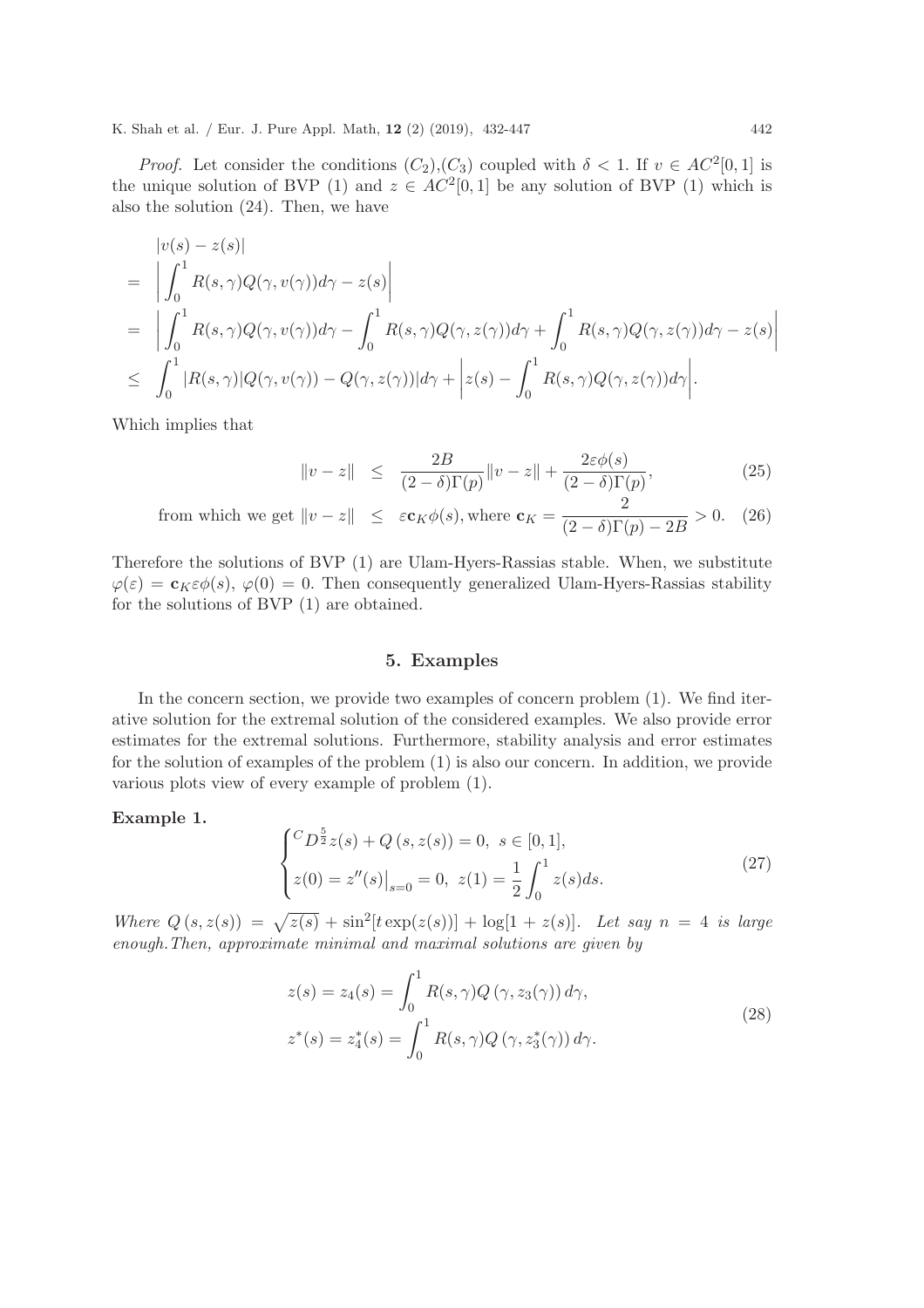*Proof.* Let consider the conditions  $(C_2), (C_3)$  coupled with  $\delta < 1$ . If  $v \in AC^2[0,1]$  is the unique solution of BVP (1) and  $z \in AC^2[0,1]$  be any solution of BVP (1) which is also the solution (24). Then, we have

$$
\begin{split}\n&= \left| \int_{0}^{1} R(s,\gamma)Q(\gamma,v(\gamma))d\gamma - z(s) \right| \\
&= \left| \int_{0}^{1} R(s,\gamma)Q(\gamma,v(\gamma))d\gamma - \int_{0}^{1} R(s,\gamma)Q(\gamma,z(\gamma))d\gamma + \int_{0}^{1} R(s,\gamma)Q(\gamma,z(\gamma))d\gamma - z(s) \right| \\
&\leq \left| \int_{0}^{1} |R(s,\gamma)|Q(\gamma,v(\gamma)) - Q(\gamma,z(\gamma))|d\gamma + \left| z(s) - \int_{0}^{1} R(s,\gamma)Q(\gamma,z(\gamma))d\gamma \right|.\n\end{split}
$$

Which implies that

$$
\|v - z\| \le \frac{2B}{(2 - \delta)\Gamma(p)}\|v - z\| + \frac{2\varepsilon\phi(s)}{(2 - \delta)\Gamma(p)},
$$
\n(25)

from which we get 
$$
||v - z|| \le \varepsilon \mathbf{c}_K \phi(s)
$$
, where  $\mathbf{c}_K = \frac{2}{(2 - \delta)\Gamma(p) - 2B} > 0.$  (26)

Therefore the solutions of BVP (1) are Ulam-Hyers-Rassias stable. When, we substitute  $\varphi(\varepsilon) = \mathbf{c}_K \varepsilon \phi(s), \varphi(0) = 0.$  Then consequently generalized Ulam-Hyers-Rassias stability for the solutions of BVP (1) are obtained.

#### 5. Examples

In the concern section, we provide two examples of concern problem (1). We find iterative solution for the extremal solution of the considered examples. We also provide error estimates for the extremal solutions. Furthermore, stability analysis and error estimates for the solution of examples of the problem (1) is also our concern. In addition, we provide various plots view of every example of problem (1).

Example 1.

$$
\begin{cases} ^{C}D^{\frac{5}{2}}z(s) + Q(s, z(s)) = 0, \ s \in [0, 1], \\ z(0) = z''(s)|_{s=0} = 0, \ z(1) = \frac{1}{2} \int_{0}^{1} z(s)ds. \end{cases}
$$
(27)

Where  $Q(s, z(s)) = \sqrt{z(s)} + \sin^2[t \exp(z(s))] + \log[1 + z(s)]$ . Let say  $n = 4$  is large enough.Then, approximate minimal and maximal solutions are given by

$$
z(s) = z_4(s) = \int_0^1 R(s, \gamma) Q(\gamma, z_3(\gamma)) d\gamma,
$$
  

$$
z^*(s) = z_4^*(s) = \int_0^1 R(s, \gamma) Q(\gamma, z_3^*(\gamma)) d\gamma.
$$
 (28)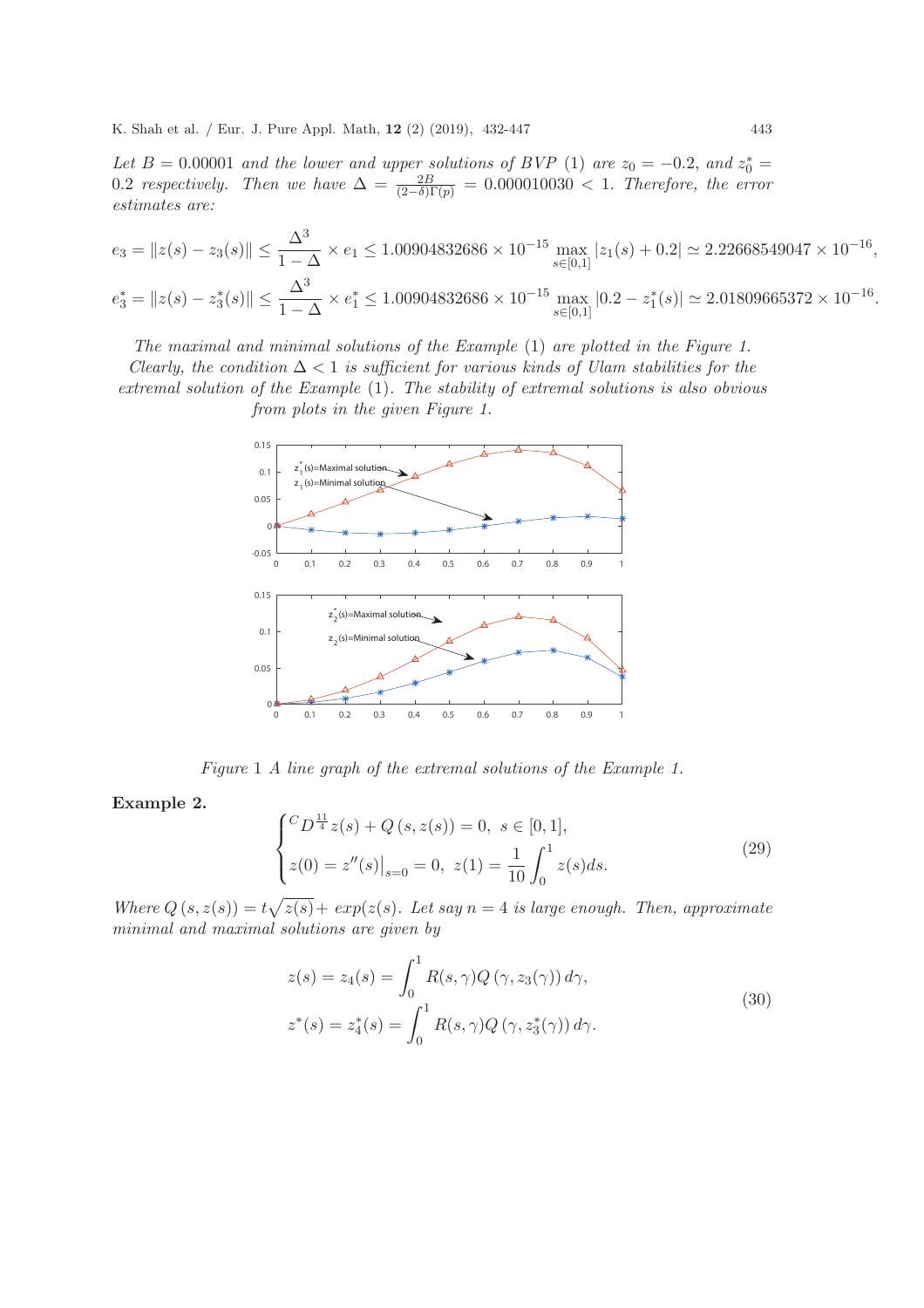Let B = 0.00001 and the lower and upper solutions of BVP (1) are  $z_0 = -0.2$ , and  $z_0^* =$ 0.2 respectively. Then we have  $\Delta = \frac{2B}{(2-\delta)\Gamma(p)} = 0.000010030 < 1$ . Therefore, the error estimates are:

$$
e_3 = \|z(s) - z_3(s)\| \le \frac{\Delta^3}{1 - \Delta} \times e_1 \le 1.00904832686 \times 10^{-15} \max_{s \in [0,1]} |z_1(s) + 0.2| \simeq 2.22668549047 \times 10^{-16},
$$
  

$$
e_3^* = \|z(s) - z_3^*(s)\| \le \frac{\Delta^3}{1 - \Delta} \times e_1^* \le 1.00904832686 \times 10^{-15} \max_{s \in [0,1]} |0.2 - z_1^*(s)| \simeq 2.01809665372 \times 10^{-16}.
$$

The maximal and minimal solutions of the Example (1) are plotted in the Figure 1.

Clearly, the condition  $\Delta$  < 1 is sufficient for various kinds of Ulam stabilities for the extremal solution of the Example (1). The stability of extremal solutions is also obvious from plots in the given Figure 1.



Figure 1 A line graph of the extremal solutions of the Example 1.

#### Example 2.

$$
\begin{cases} ^{C}D^{\frac{11}{4}}z(s) + Q(s, z(s)) = 0, \ s \in [0, 1], \\ z(0) = z''(s)|_{s=0} = 0, \ z(1) = \frac{1}{10} \int_{0}^{1} z(s)ds. \end{cases}
$$
(29)

Where  $Q(s, z(s)) = t\sqrt{z(s)} + exp(z(s))$ . Let say  $n = 4$  is large enough. Then, approximate minimal and maximal solutions are given by

$$
z(s) = z_4(s) = \int_0^1 R(s, \gamma) Q(\gamma, z_3(\gamma)) d\gamma,
$$
  
\n
$$
z^*(s) = z_4^*(s) = \int_0^1 R(s, \gamma) Q(\gamma, z_3^*(\gamma)) d\gamma.
$$
\n(30)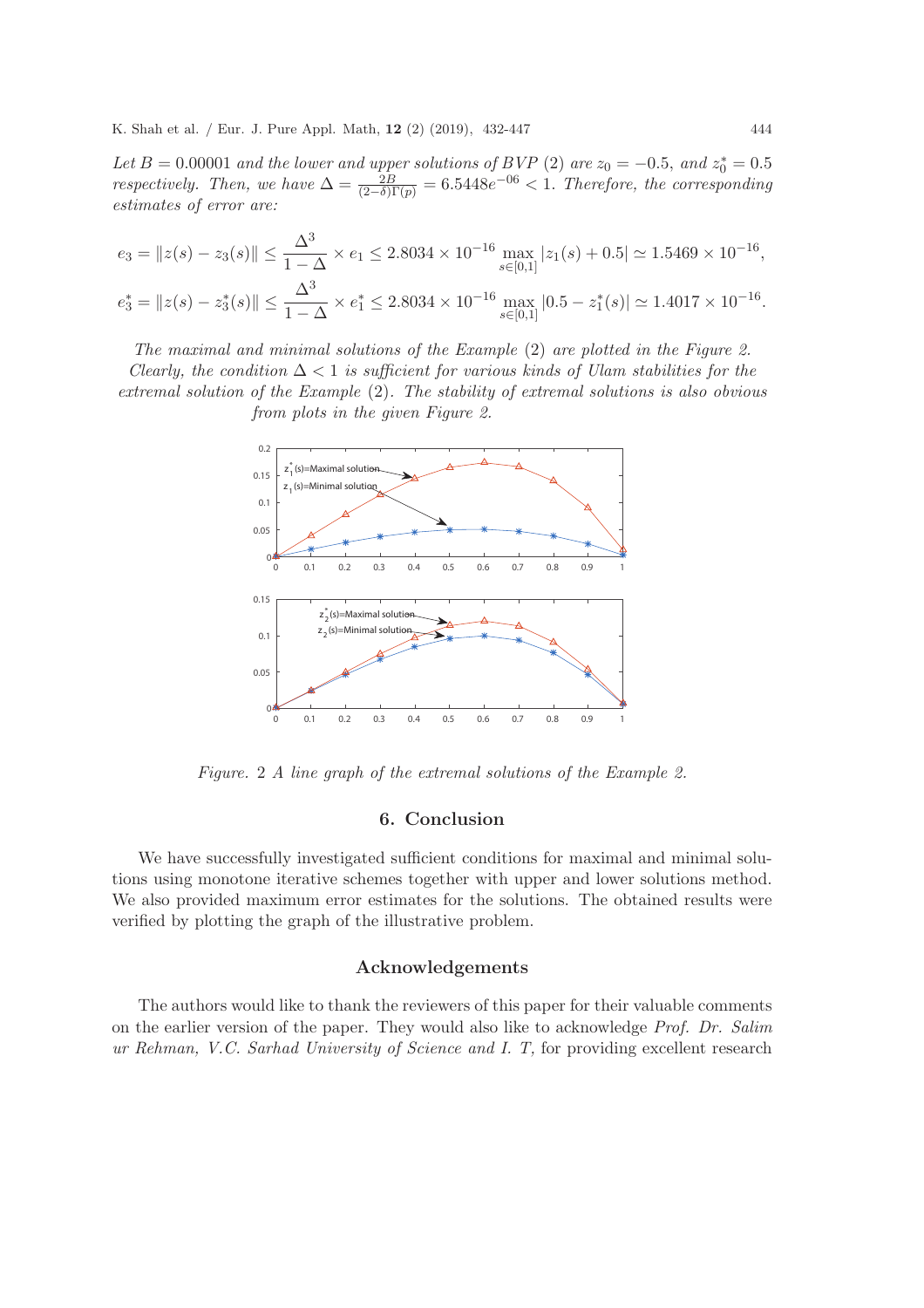Let B = 0.00001 and the lower and upper solutions of BVP (2) are  $z_0 = -0.5$ , and  $z_0^* = 0.5$ respectively. Then, we have  $\Delta = \frac{2B}{(2-\delta)\Gamma(p)} = 6.5448e^{-0.6} < 1$ . Therefore, the corresponding estimates of error are:

$$
e_3 = \|z(s) - z_3(s)\| \le \frac{\Delta^3}{1 - \Delta} \times e_1 \le 2.8034 \times 10^{-16} \max_{s \in [0,1]} |z_1(s) + 0.5| \simeq 1.5469 \times 10^{-16},
$$
  

$$
e_3^* = \|z(s) - z_3^*(s)\| \le \frac{\Delta^3}{1 - \Delta} \times e_1^* \le 2.8034 \times 10^{-16} \max_{s \in [0,1]} |0.5 - z_1^*(s)| \simeq 1.4017 \times 10^{-16}.
$$

The maximal and minimal solutions of the Example (2) are plotted in the Figure 2. Clearly, the condition  $\Delta < 1$  is sufficient for various kinds of Ulam stabilities for the extremal solution of the Example (2). The stability of extremal solutions is also obvious from plots in the given Figure 2.



Figure. 2 A line graph of the extremal solutions of the Example 2.

## 6. Conclusion

We have successfully investigated sufficient conditions for maximal and minimal solutions using monotone iterative schemes together with upper and lower solutions method. We also provided maximum error estimates for the solutions. The obtained results were verified by plotting the graph of the illustrative problem.

#### Acknowledgements

The authors would like to thank the reviewers of this paper for their valuable comments on the earlier version of the paper. They would also like to acknowledge Prof. Dr. Salim ur Rehman, V.C. Sarhad University of Science and I. T, for providing excellent research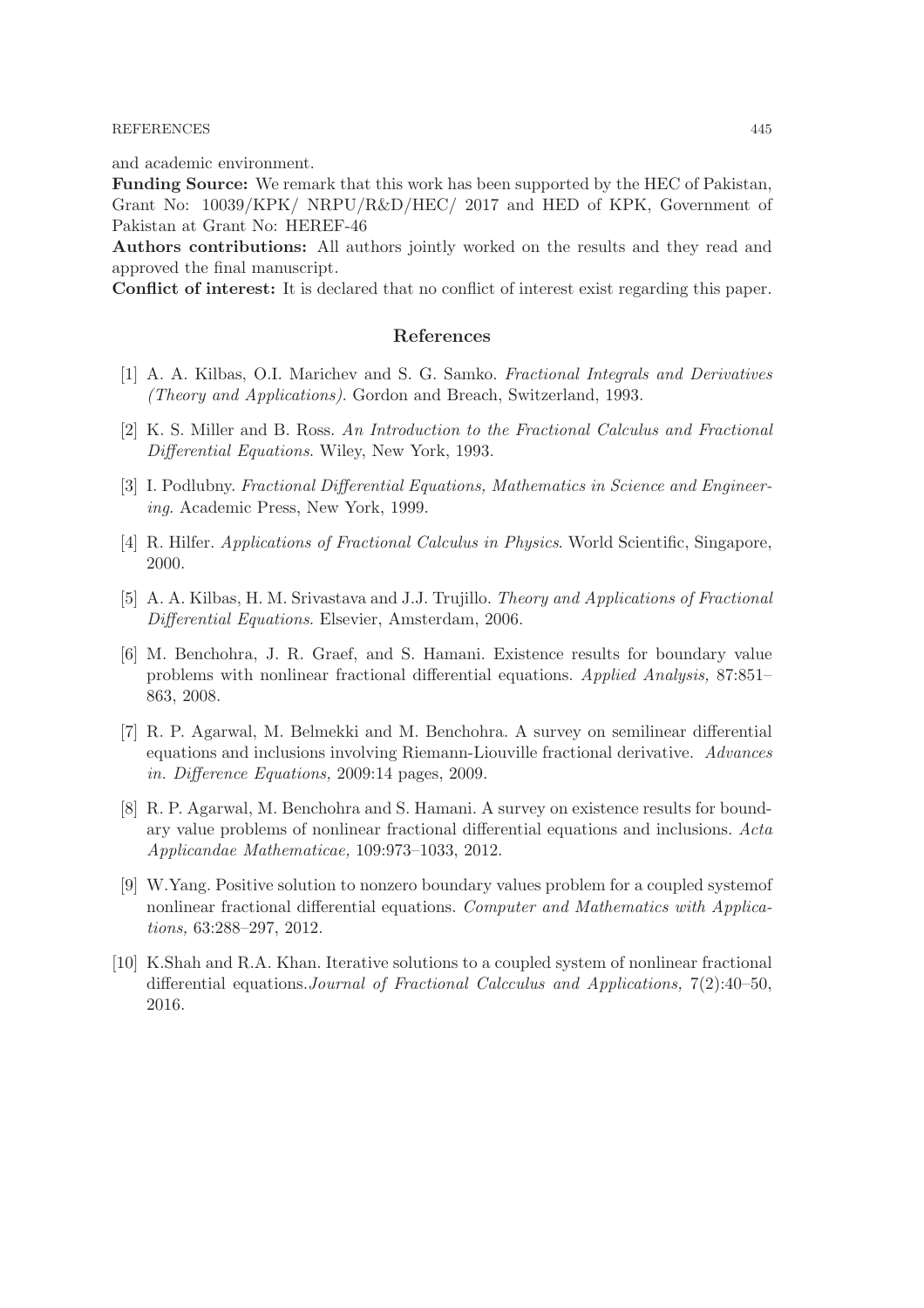#### REFERENCES 445

and academic environment.

Funding Source: We remark that this work has been supported by the HEC of Pakistan, Grant No: 10039/KPK/ NRPU/R&D/HEC/ 2017 and HED of KPK, Government of Pakistan at Grant No: HEREF-46

Authors contributions: All authors jointly worked on the results and they read and approved the final manuscript.

Conflict of interest: It is declared that no conflict of interest exist regarding this paper.

## References

- [1] A. A. Kilbas, O.I. Marichev and S. G. Samko. Fractional Integrals and Derivatives (Theory and Applications). Gordon and Breach, Switzerland, 1993.
- [2] K. S. Miller and B. Ross. An Introduction to the Fractional Calculus and Fractional Differential Equations. Wiley, New York, 1993.
- [3] I. Podlubny. Fractional Differential Equations, Mathematics in Science and Engineering. Academic Press, New York, 1999.
- [4] R. Hilfer. Applications of Fractional Calculus in Physics. World Scientific, Singapore, 2000.
- [5] A. A. Kilbas, H. M. Srivastava and J.J. Trujillo. Theory and Applications of Fractional Differential Equations. Elsevier, Amsterdam, 2006.
- [6] M. Benchohra, J. R. Graef, and S. Hamani. Existence results for boundary value problems with nonlinear fractional differential equations. Applied Analysis, 87:851– 863, 2008.
- [7] R. P. Agarwal, M. Belmekki and M. Benchohra. A survey on semilinear differential equations and inclusions involving Riemann-Liouville fractional derivative. Advances in. Difference Equations, 2009:14 pages, 2009.
- [8] R. P. Agarwal, M. Benchohra and S. Hamani. A survey on existence results for boundary value problems of nonlinear fractional differential equations and inclusions. Acta Applicandae Mathematicae, 109:973–1033, 2012.
- [9] W.Yang. Positive solution to nonzero boundary values problem for a coupled systemof nonlinear fractional differential equations. Computer and Mathematics with Applications, 63:288–297, 2012.
- [10] K.Shah and R.A. Khan. Iterative solutions to a coupled system of nonlinear fractional differential equations.Journal of Fractional Calcculus and Applications, 7(2):40–50, 2016.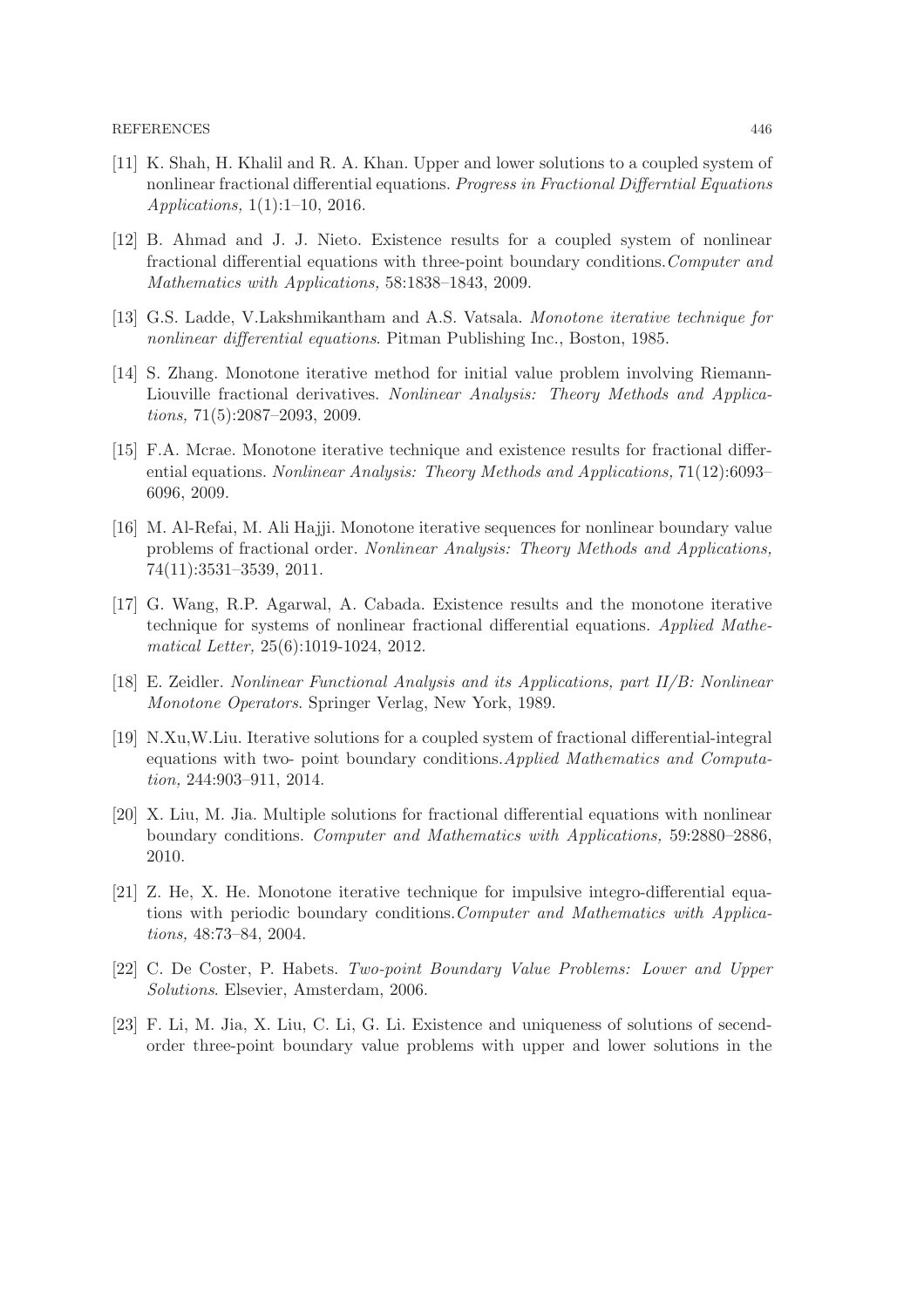- [11] K. Shah, H. Khalil and R. A. Khan. Upper and lower solutions to a coupled system of nonlinear fractional differential equations. Progress in Fractional Differntial Equations Applications, 1(1):1–10, 2016.
- [12] B. Ahmad and J. J. Nieto. Existence results for a coupled system of nonlinear fractional differential equations with three-point boundary conditions.Computer and Mathematics with Applications, 58:1838–1843, 2009.
- [13] G.S. Ladde, V.Lakshmikantham and A.S. Vatsala. Monotone iterative technique for nonlinear differential equations. Pitman Publishing Inc., Boston, 1985.
- [14] S. Zhang. Monotone iterative method for initial value problem involving Riemann-Liouville fractional derivatives. Nonlinear Analysis: Theory Methods and Applications, 71(5):2087–2093, 2009.
- [15] F.A. Mcrae. Monotone iterative technique and existence results for fractional differential equations. Nonlinear Analysis: Theory Methods and Applications, 71(12):6093– 6096, 2009.
- [16] M. Al-Refai, M. Ali Hajji. Monotone iterative sequences for nonlinear boundary value problems of fractional order. Nonlinear Analysis: Theory Methods and Applications, 74(11):3531–3539, 2011.
- [17] G. Wang, R.P. Agarwal, A. Cabada. Existence results and the monotone iterative technique for systems of nonlinear fractional differential equations. Applied Mathematical Letter, 25(6):1019-1024, 2012.
- [18] E. Zeidler. Nonlinear Functional Analysis and its Applications, part II/B: Nonlinear Monotone Operators. Springer Verlag, New York, 1989.
- [19] N.Xu,W.Liu. Iterative solutions for a coupled system of fractional differential-integral equations with two- point boundary conditions.Applied Mathematics and Computation, 244:903–911, 2014.
- [20] X. Liu, M. Jia. Multiple solutions for fractional differential equations with nonlinear boundary conditions. Computer and Mathematics with Applications, 59:2880–2886, 2010.
- [21] Z. He, X. He. Monotone iterative technique for impulsive integro-differential equations with periodic boundary conditions.Computer and Mathematics with Applications, 48:73–84, 2004.
- [22] C. De Coster, P. Habets. Two-point Boundary Value Problems: Lower and Upper Solutions. Elsevier, Amsterdam, 2006.
- [23] F. Li, M. Jia, X. Liu, C. Li, G. Li. Existence and uniqueness of solutions of secendorder three-point boundary value problems with upper and lower solutions in the